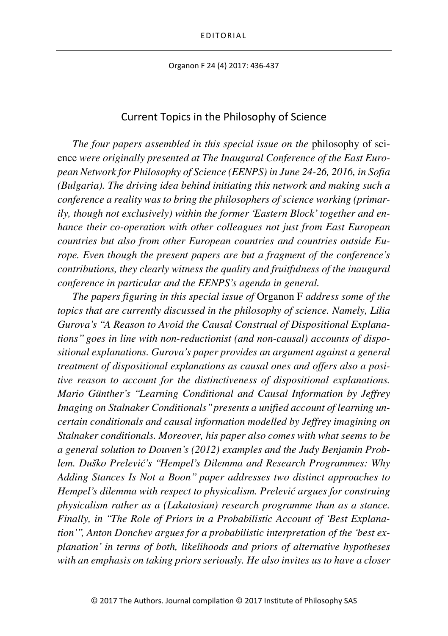Organon F 24 (4) 2017: 436-437

## Current Topics in the Philosophy of Science

*The four papers assembled in this special issue on the* philosophy of science *were originally presented at The Inaugural Conference of the East European Network for Philosophy of Science (EENPS) in June 24-26, 2016, in Sofia (Bulgaria). The driving idea behind initiating this network and making such a conference a reality was to bring the philosophers of science working (primarily, though not exclusively) within the former 'Eastern Block' together and enhance their co-operation with other colleagues not just from East European countries but also from other European countries and countries outside Europe. Even though the present papers are but a fragment of the conference's contributions, they clearly witness the quality and fruitfulness of the inaugural conference in particular and the EENPS's agenda in general.*

*The papers figuring in this special issue of* Organon F *address some of the topics that are currently discussed in the philosophy of science. Namely, Lilia Gurova's "A Reason to Avoid the Causal Construal of Dispositional Explanations" goes in line with non-reductionist (and non-causal) accounts of dispositional explanations. Gurova's paper provides an argument against a general treatment of dispositional explanations as causal ones and offers also a positive reason to account for the distinctiveness of dispositional explanations. Mario Günther's "Learning Conditional and Causal Information by Jeffrey Imaging on Stalnaker Conditionals" presents a unified account of learning uncertain conditionals and causal information modelled by Jeffrey imagining on Stalnaker conditionals. Moreover, his paper also comes with what seems to be a general solution to Douven's (2012) examples and the Judy Benjamin Problem. Duško Prelević's "Hempel's Dilemma and Research Programmes: Why Adding Stances Is Not a Boon" paper addresses two distinct approaches to Hempel's dilemma with respect to physicalism. Prelević argues for construing physicalism rather as a (Lakatosian) research programme than as a stance. Finally, in "The Role of Priors in a Probabilistic Account of 'Best Explanation'", Anton Donchev argues for a probabilistic interpretation of the 'best explanation' in terms of both, likelihoods and priors of alternative hypotheses with an emphasis on taking priors seriously. He also invites us to have a closer*